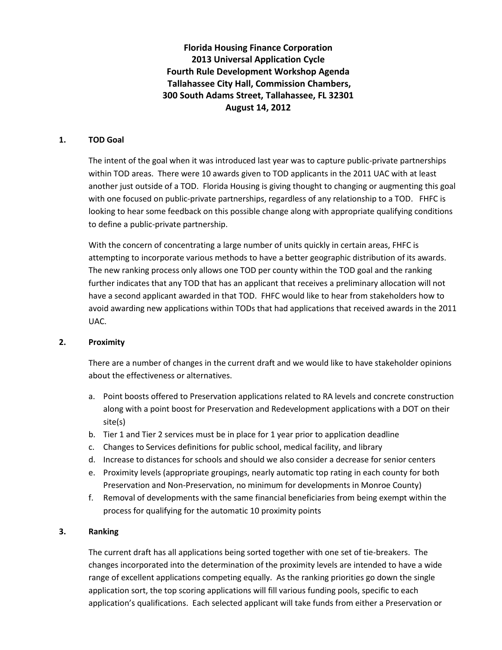**Florida Housing Finance Corporation 2013 Universal Application Cycle Fourth Rule Development Workshop Agenda Tallahassee City Hall, Commission Chambers, 300 South Adams Street, Tallahassee, FL 32301 August 14, 2012**

### **1. TOD Goal**

The intent of the goal when it was introduced last year was to capture public-private partnerships within TOD areas. There were 10 awards given to TOD applicants in the 2011 UAC with at least another just outside of a TOD. Florida Housing is giving thought to changing or augmenting this goal with one focused on public-private partnerships, regardless of any relationship to a TOD. FHFC is looking to hear some feedback on this possible change along with appropriate qualifying conditions to define a public-private partnership.

With the concern of concentrating a large number of units quickly in certain areas, FHFC is attempting to incorporate various methods to have a better geographic distribution of its awards. The new ranking process only allows one TOD per county within the TOD goal and the ranking further indicates that any TOD that has an applicant that receives a preliminary allocation will not have a second applicant awarded in that TOD. FHFC would like to hear from stakeholders how to avoid awarding new applications within TODs that had applications that received awards in the 2011 UAC.

#### **2. Proximity**

There are a number of changes in the current draft and we would like to have stakeholder opinions about the effectiveness or alternatives.

- a. Point boosts offered to Preservation applications related to RA levels and concrete construction along with a point boost for Preservation and Redevelopment applications with a DOT on their site(s)
- b. Tier 1 and Tier 2 services must be in place for 1 year prior to application deadline
- c. Changes to Services definitions for public school, medical facility, and library
- d. Increase to distances for schools and should we also consider a decrease for senior centers
- e. Proximity levels (appropriate groupings, nearly automatic top rating in each county for both Preservation and Non-Preservation, no minimum for developments in Monroe County)
- f. Removal of developments with the same financial beneficiaries from being exempt within the process for qualifying for the automatic 10 proximity points

## **3. Ranking**

The current draft has all applications being sorted together with one set of tie-breakers. The changes incorporated into the determination of the proximity levels are intended to have a wide range of excellent applications competing equally. As the ranking priorities go down the single application sort, the top scoring applications will fill various funding pools, specific to each application's qualifications. Each selected applicant will take funds from either a Preservation or